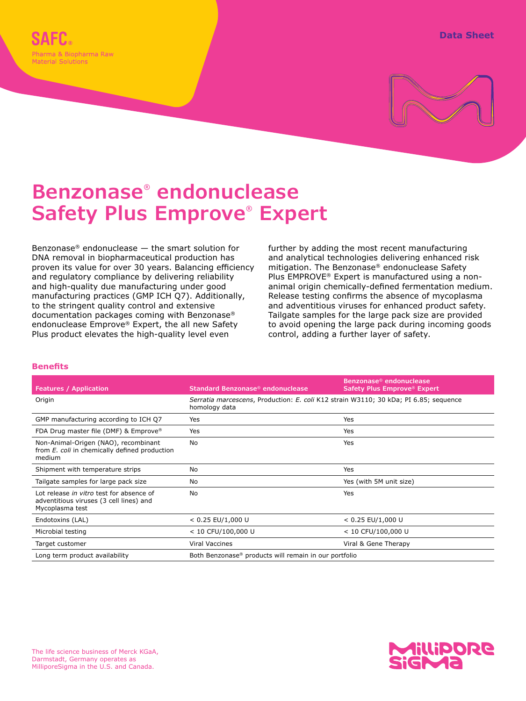

# **Benzonase® endonuclease Safety Plus Emprove® Expert**

Benzonase® endonuclease — the smart solution for DNA removal in biopharmaceutical production has proven its value for over 30 years. Balancing efficiency and regulatory compliance by delivering reliability and high-quality due manufacturing under good manufacturing practices (GMP ICH Q7). Additionally, to the stringent quality control and extensive documentation packages coming with Benzonase® endonuclease Emprove® Expert, the all new Safety Plus product elevates the high-quality level even

further by adding the most recent manufacturing and analytical technologies delivering enhanced risk mitigation. The Benzonase® endonuclease Safety Plus EMPROVE® Expert is manufactured using a nonanimal origin chemically-defined fermentation medium. Release testing confirms the absence of mycoplasma and adventitious viruses for enhanced product safety. Tailgate samples for the large pack size are provided to avoid opening the large pack during incoming goods control, adding a further layer of safety.

#### **Benefits**

| <b>Features / Application</b>                                                                          | Standard Benzonase <sup>®</sup> endonuclease                                                          | Benzonase <sup>®</sup> endonuclease<br>Safety Plus Emprove® Expert |
|--------------------------------------------------------------------------------------------------------|-------------------------------------------------------------------------------------------------------|--------------------------------------------------------------------|
| Origin                                                                                                 | Serratia marcescens, Production: E. coli K12 strain W3110; 30 kDa; PI 6.85; sequence<br>homology data |                                                                    |
| GMP manufacturing according to ICH Q7                                                                  | Yes                                                                                                   | Yes                                                                |
| FDA Drug master file (DMF) & Emprove®                                                                  | Yes                                                                                                   | Yes                                                                |
| Non-Animal-Origen (NAO), recombinant<br>from E. coli in chemically defined production<br>medium        | No                                                                                                    | Yes                                                                |
| Shipment with temperature strips                                                                       | No                                                                                                    | Yes                                                                |
| Tailgate samples for large pack size                                                                   | No                                                                                                    | Yes (with 5M unit size)                                            |
| Lot release in vitro test for absence of<br>adventitious viruses (3 cell lines) and<br>Mycoplasma test | <b>No</b>                                                                                             | Yes                                                                |
| Endotoxins (LAL)                                                                                       | $< 0.25$ EU/1,000 U                                                                                   | $< 0.25$ EU/1,000 U                                                |
| Microbial testing                                                                                      | $< 10$ CFU/100,000 U                                                                                  | $< 10$ CFU/100,000 U                                               |
| Target customer                                                                                        | <b>Viral Vaccines</b>                                                                                 | Viral & Gene Therapy                                               |
| Long term product availability                                                                         | Both Benzonase <sup>®</sup> products will remain in our portfolio                                     |                                                                    |